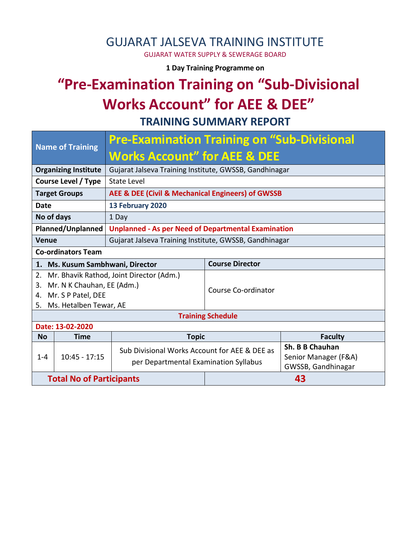## GUJARAT JALSEVA TRAINING INSTITUTE

GUJARAT WATER SUPPLY & SEWERAGE BOARD

**1 Day Training Programme on** 

# **"Pre-Examination Training on "Sub-Divisional Works Account" for AEE & DEE"**

**TRAINING SUMMARY REPORT**

| <b>Name of Training</b>            | <b>Pre-Examination Training on "Sub-Divisional</b>                                     |                        |                                            |  |  |  |  |
|------------------------------------|----------------------------------------------------------------------------------------|------------------------|--------------------------------------------|--|--|--|--|
|                                    | <b>Works Account" for AEE &amp; DEE</b>                                                |                        |                                            |  |  |  |  |
| <b>Organizing Institute</b>        | Gujarat Jalseva Training Institute, GWSSB, Gandhinagar                                 |                        |                                            |  |  |  |  |
| Course Level / Type<br>State Level |                                                                                        |                        |                                            |  |  |  |  |
| <b>Target Groups</b>               | AEE & DEE (Civil & Mechanical Engineers) of GWSSB                                      |                        |                                            |  |  |  |  |
| Date                               | 13 February 2020                                                                       |                        |                                            |  |  |  |  |
| No of days<br>1 Day                |                                                                                        |                        |                                            |  |  |  |  |
| Planned/Unplanned                  | <b>Unplanned - As per Need of Departmental Examination</b>                             |                        |                                            |  |  |  |  |
| <b>Venue</b>                       | Gujarat Jalseva Training Institute, GWSSB, Gandhinagar                                 |                        |                                            |  |  |  |  |
| <b>Co-ordinators Team</b>          |                                                                                        |                        |                                            |  |  |  |  |
| 1. Ms. Kusum Sambhwani, Director   |                                                                                        | <b>Course Director</b> |                                            |  |  |  |  |
| 2.                                 | Mr. Bhavik Rathod, Joint Director (Adm.)                                               |                        |                                            |  |  |  |  |
| Mr. N K Chauhan, EE (Adm.)<br>3.   |                                                                                        | Course Co-ordinator    |                                            |  |  |  |  |
| Mr. S P Patel, DEE<br>4.           |                                                                                        |                        |                                            |  |  |  |  |
| Ms. Hetalben Tewar, AE<br>5.       |                                                                                        |                        |                                            |  |  |  |  |
| <b>Training Schedule</b>           |                                                                                        |                        |                                            |  |  |  |  |
| Date: 13-02-2020                   |                                                                                        |                        |                                            |  |  |  |  |
| <b>No</b><br><b>Time</b>           | <b>Topic</b>                                                                           |                        | <b>Faculty</b>                             |  |  |  |  |
|                                    | Sub Divisional Works Account for AEE & DEE as<br>per Departmental Examination Syllabus |                        | Sh. B B Chauhan                            |  |  |  |  |
| $10:45 - 17:15$<br>$1 - 4$         |                                                                                        |                        | Senior Manager (F&A)<br>GWSSB, Gandhinagar |  |  |  |  |
| <b>Total No of Participants</b>    |                                                                                        | 43                     |                                            |  |  |  |  |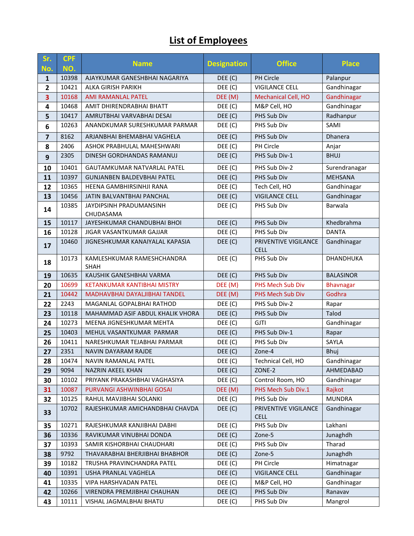### **List of Employees**

| Sr.                     | <b>CPF</b>    | <b>Name</b>                                                  | <b>Designation</b> | <b>Office</b>                       | <b>Place</b>            |
|-------------------------|---------------|--------------------------------------------------------------|--------------------|-------------------------------------|-------------------------|
| No.                     | NO.<br>10398  | AJAYKUMAR GANESHBHAI NAGARIYA                                |                    | <b>PH Circle</b>                    |                         |
| 1<br>$\mathbf{2}$       | 10421         | ALKA GIRISH PARIKH                                           | DEE(C)<br>DEE (C)  | <b>VIGILANCE CELL</b>               | Palanpur<br>Gandhinagar |
| $\overline{\mathbf{3}}$ | 10168         | <b>AMI RAMANLAL PATEL</b>                                    | DEE (M)            | Mechanical Cell, HO                 | Gandhinagar             |
| 4                       | 10468         | AMIT DHIRENDRABHAI BHATT                                     | DEE (C)            | M&P Cell, HO                        | Gandhinagar             |
| 5                       | 10417         | AMRUTBHAI VARVABHAI DESAI                                    | DEE(C)             | PHS Sub Div                         | Radhanpur               |
|                         | 10263         | ANANDKUMAR SURESHKUMAR PARMAR                                | DEE (C)            | PHS Sub Div                         | SAMI                    |
| 6                       |               | ARJANBHAI BHEMABHAI VAGHELA                                  |                    |                                     |                         |
| $\overline{7}$          | 8162          |                                                              | DEE (C)            | PHS Sub Div<br>PH Circle            | Dhanera                 |
| 8                       | 2406          | ASHOK PRABHULAL MAHESHWARI                                   | DEE (C)            | PHS Sub Div-1                       | Anjar                   |
| 9                       | 2305          | DINESH GORDHANDAS RAMANUJ                                    | DEF(C)             |                                     | <b>BHUJ</b>             |
| 10                      | 10401         | <b>GAUTAMKUMAR NATVARLAL PATEL</b>                           | DEE (C)            | PHS Sub Div-2                       | Surendranagar           |
| 11                      | 10397         | <b>GUNJANBEN BALDEVBHAI PATEL</b>                            | DEE(C)             | PHS Sub Div                         | <b>MEHSANA</b>          |
| 12                      | 10365         | HEENA GAMBHIRSINHJI RANA                                     | DEE (C)            | Tech Cell, HO                       | Gandhinagar             |
| 13                      | 10456         | JATIN BALVANTBHAI PANCHAL                                    | DEE(C)             | <b>VIGILANCE CELL</b>               | Gandhinagar             |
| 14                      | 10385         | JAYDIPSINH PRADUMANSINH                                      | DEE (C)            | PHS Sub Div                         | Barwala                 |
|                         | 10117         | CHUDASAMA                                                    |                    |                                     | Khedbrahma              |
| 15                      | 10128         | JAYESHKUMAR CHANDUBHAI BHOI                                  | DEE (C)            | PHS Sub Div<br>PHS Sub Div          |                         |
| 16                      |               | JIGAR VASANTKUMAR GAJJAR                                     | DEE (C)            |                                     | <b>DANTA</b>            |
| 17                      | 10460         | JIGNESHKUMAR KANAIYALAL KAPASIA                              | DEF(C)             | PRIVENTIVE VIGILANCE<br><b>CELL</b> | Gandhinagar             |
| 18                      | 10173         | KAMLESHKUMAR RAMESHCHANDRA                                   | DEE (C)            | PHS Sub Div                         | <b>DHANDHUKA</b>        |
|                         |               | <b>SHAH</b>                                                  |                    |                                     |                         |
| 19                      | 10635         | KAUSHIK GANESHBHAI VARMA                                     | DEF(C)             | PHS Sub Div                         | <b>BALASINOR</b>        |
| 20                      | 10699         | KETANKUMAR KANTIBHAI MISTRY                                  | DEE (M)            | PHS Mech Sub Div                    | <b>Bhavnagar</b>        |
| 21                      | 10442         | MADHAVBHAI DAYALJIBHAI TANDEL                                | DEE (M)            | PHS Mech Sub Div                    | Godhra                  |
| 22                      | 2243<br>10118 | MAGANLAL GOPALBHAI RATHOD                                    | DEE (C)            | PHS Sub Div-2                       | Rapar                   |
| 23                      | 10273         | MAHAMMAD ASIF ABDUL KHALIK VHORA<br>MEENA JIGNESHKUMAR MEHTA | DEE(C)             | PHS Sub Div<br><b>GJTI</b>          | Talod                   |
| 24                      | 10403         |                                                              | DEE (C)            | PHS Sub Div-1                       | Gandhinagar             |
| 25                      | 10411         | MEHUL VASANTKUMAR PARMAR<br>NARESHKUMAR TEJABHAI PARMAR      | DEF(C)<br>DEE (C)  | PHS Sub Div                         | Rapar<br>SAYLA          |
| 26<br>27                | 2351          | NAVIN DAYARAM RAJDE                                          | DEE (C)            | Zone-4                              | Bhuj                    |
|                         | 10474         |                                                              |                    | Technical Cell, HO                  | Gandhinagar             |
| 28                      | 9094          | NAVIN RAMANLAL PATEL<br>NAZRIN AKEEL KHAN                    | DEE (C)<br>DEF(C)  | ZONE-2                              | AHMEDABAD               |
| 29<br>30                | 10102         | PRIYANK PRAKASHBHAI VAGHASIYA                                | DEE (C)            | Control Room, HO                    | Gandhinagar             |
| 31                      | 10087         | PURVANGI ASHWINBHAI GOSAI                                    | DEE (M)            | PHS Mech Sub Div.1                  | Rajkot                  |
| 32                      | 10125         | RAHUL MAVJIBHAI SOLANKI                                      | DEE (C)            | PHS Sub Div                         | <b>MUNDRA</b>           |
|                         | 10702         | RAJESHKUMAR AMICHANDBHAI CHAVDA                              | DEF(C)             | PRIVENTIVE VIGILANCE                | Gandhinagar             |
| 33                      |               |                                                              |                    | <b>CELL</b>                         |                         |
| 35                      | 10271         | RAJESHKUMAR KANJIBHAI DABHI                                  | DEE (C)            | PHS Sub Div                         | Lakhani                 |
| 36                      | 10336         | RAVIKUMAR VINUBHAI DONDA                                     | DEF(C)             | Zone-5                              | Junaghdh                |
| 37                      | 10393         | SAMIR KISHORBHAI CHAUDHARI                                   | DEE (C)            | PHS Sub Div                         | Tharad                  |
| 38                      | 9792          | THAVARABHAI BHERJIBHAI BHABHOR                               | DEF(C)             | Zone-5                              | Junaghdh                |
| 39                      | 10182         | TRUSHA PRAVINCHANDRA PATEL                                   | DEE (C)            | PH Circle                           | Himatnagar              |
| 40                      | 10391         | USHA PRANLAL VAGHELA                                         | DEF(C)             | <b>VIGILANCE CELL</b>               | Gandhinagar             |
| 41                      | 10335         | VIPA HARSHVADAN PATEL                                        | DEE (C)            | M&P Cell, HO                        | Gandhinagar             |
| 42                      | 10266         | VIRENDRA PREMJIBHAI CHAUHAN                                  | DEE (C)            | PHS Sub Div                         | Ranavav                 |
| 43                      | 10111         | VISHAL JAGMALBHAI BHATU                                      | DEE (C)            | PHS Sub Div                         | Mangrol                 |